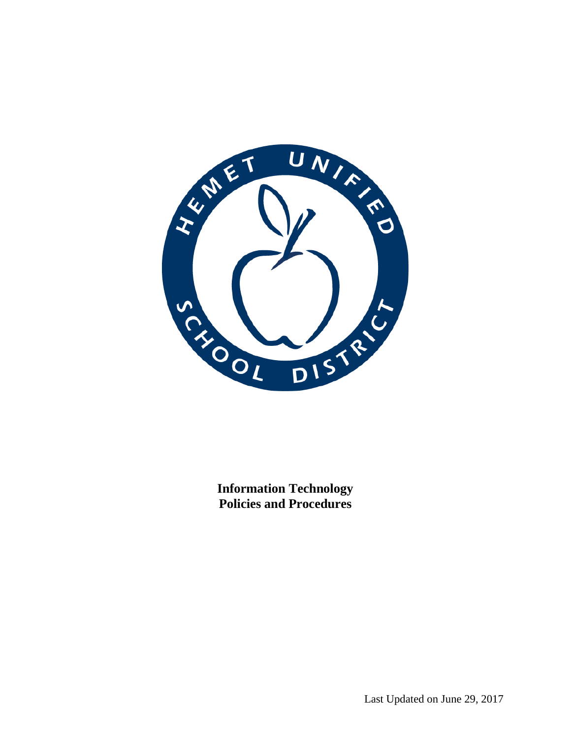

**Information Technology Policies and Procedures**

Last Updated on June 29, 2017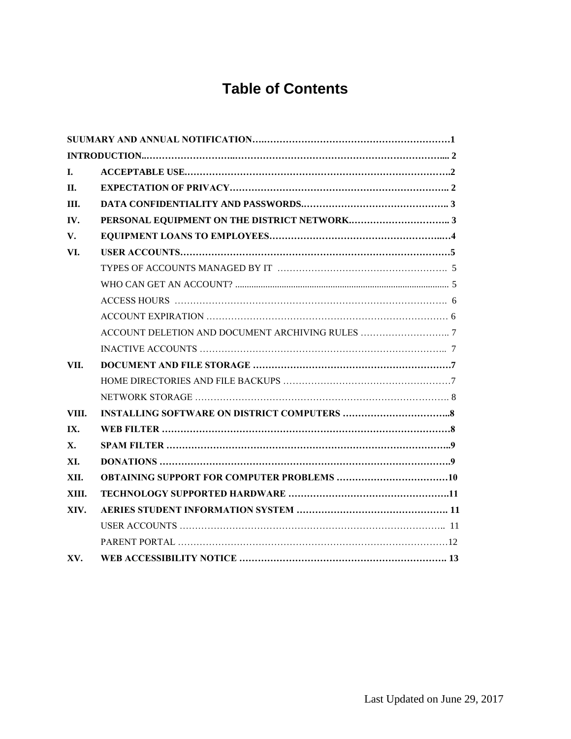# **Table of Contents**

| L.    |  |
|-------|--|
| П.    |  |
| III.  |  |
| IV.   |  |
| V.    |  |
| VI.   |  |
|       |  |
|       |  |
|       |  |
|       |  |
|       |  |
|       |  |
| VII.  |  |
|       |  |
|       |  |
| VIII. |  |
| IX.   |  |
| X.    |  |
| XI.   |  |
| XII.  |  |
| XIII. |  |
| XIV.  |  |
|       |  |
|       |  |
| XV.   |  |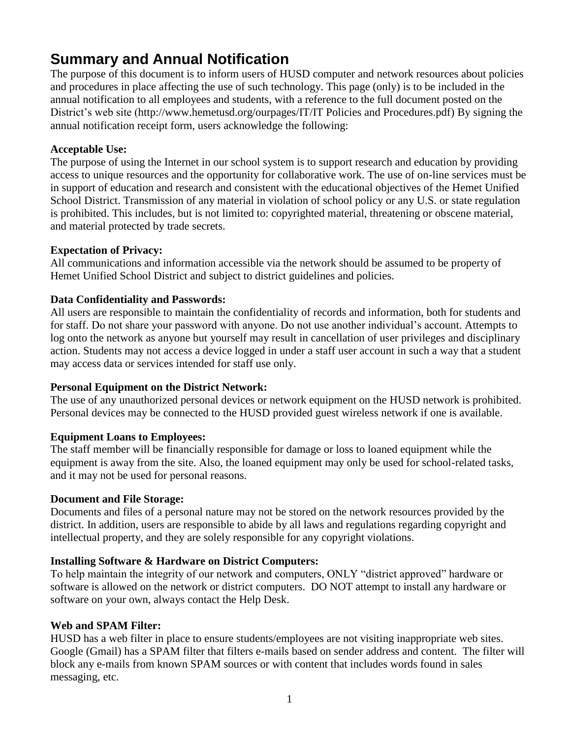## **Summary and Annual Notification**

The purpose of this document is to inform users of HUSD computer and network resources about policies and procedures in place affecting the use of such technology. This page (only) is to be included in the annual notification to all employees and students, with a reference to the full document posted on the District's web site (http://www.hemetusd.org/ourpages/IT/IT Policies and Procedures.pdf) By signing the annual notification receipt form, users acknowledge the following:

#### **Acceptable Use:**

The purpose of using the Internet in our school system is to support research and education by providing access to unique resources and the opportunity for collaborative work. The use of on-line services must be in support of education and research and consistent with the educational objectives of the Hemet Unified School District. Transmission of any material in violation of school policy or any U.S. or state regulation is prohibited. This includes, but is not limited to: copyrighted material, threatening or obscene material, and material protected by trade secrets.

#### **Expectation of Privacy:**

All communications and information accessible via the network should be assumed to be property of Hemet Unified School District and subject to district guidelines and policies.

#### **Data Confidentiality and Passwords:**

All users are responsible to maintain the confidentiality of records and information, both for students and for staff. Do not share your password with anyone. Do not use another individual's account. Attempts to log onto the network as anyone but yourself may result in cancellation of user privileges and disciplinary action. Students may not access a device logged in under a staff user account in such a way that a student may access data or services intended for staff use only.

#### **Personal Equipment on the District Network:**

The use of any unauthorized personal devices or network equipment on the HUSD network is prohibited. Personal devices may be connected to the HUSD provided guest wireless network if one is available.

### **Equipment Loans to Employees:**

The staff member will be financially responsible for damage or loss to loaned equipment while the equipment is away from the site. Also, the loaned equipment may only be used for school-related tasks, and it may not be used for personal reasons.

#### **Document and File Storage:**

Documents and files of a personal nature may not be stored on the network resources provided by the district. In addition, users are responsible to abide by all laws and regulations regarding copyright and intellectual property, and they are solely responsible for any copyright violations.

### **Installing Software & Hardware on District Computers:**

To help maintain the integrity of our network and computers, ONLY "district approved" hardware or software is allowed on the network or district computers. DO NOT attempt to install any hardware or software on your own, always contact the Help Desk.

### **Web and SPAM Filter:**

HUSD has a web filter in place to ensure students/employees are not visiting inappropriate web sites. Google (Gmail) has a SPAM filter that filters e-mails based on sender address and content. The filter will block any e-mails from known SPAM sources or with content that includes words found in sales messaging, etc.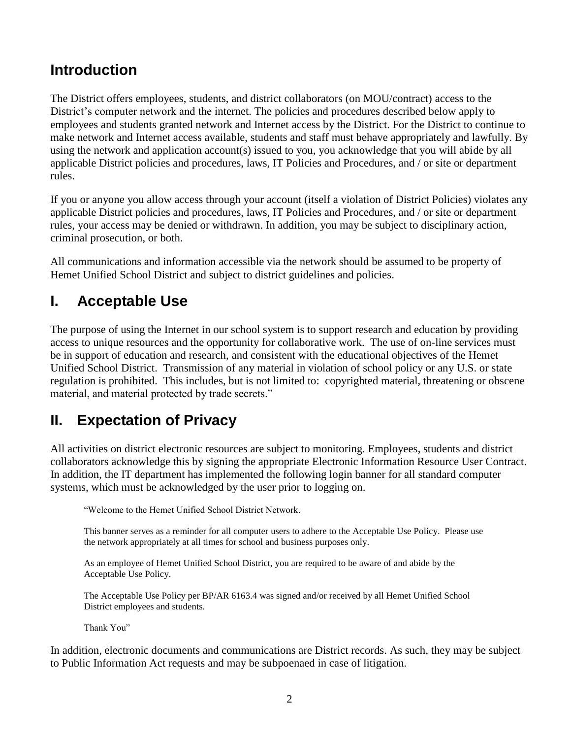## **Introduction**

The District offers employees, students, and district collaborators (on MOU/contract) access to the District's computer network and the internet. The policies and procedures described below apply to employees and students granted network and Internet access by the District. For the District to continue to make network and Internet access available, students and staff must behave appropriately and lawfully. By using the network and application account(s) issued to you, you acknowledge that you will abide by all applicable District policies and procedures, laws, IT Policies and Procedures, and / or site or department rules.

If you or anyone you allow access through your account (itself a violation of District Policies) violates any applicable District policies and procedures, laws, IT Policies and Procedures, and / or site or department rules, your access may be denied or withdrawn. In addition, you may be subject to disciplinary action, criminal prosecution, or both.

All communications and information accessible via the network should be assumed to be property of Hemet Unified School District and subject to district guidelines and policies.

## **I. Acceptable Use**

The purpose of using the Internet in our school system is to support research and education by providing access to unique resources and the opportunity for collaborative work. The use of on-line services must be in support of education and research, and consistent with the educational objectives of the Hemet Unified School District. Transmission of any material in violation of school policy or any U.S. or state regulation is prohibited. This includes, but is not limited to: copyrighted material, threatening or obscene material, and material protected by trade secrets."

## **II. Expectation of Privacy**

All activities on district electronic resources are subject to monitoring. Employees, students and district collaborators acknowledge this by signing the appropriate Electronic Information Resource User Contract. In addition, the IT department has implemented the following login banner for all standard computer systems, which must be acknowledged by the user prior to logging on.

"Welcome to the Hemet Unified School District Network.

This banner serves as a reminder for all computer users to adhere to the Acceptable Use Policy. Please use the network appropriately at all times for school and business purposes only.

As an employee of Hemet Unified School District, you are required to be aware of and abide by the Acceptable Use Policy.

The Acceptable Use Policy per BP/AR 6163.4 was signed and/or received by all Hemet Unified School District employees and students.

Thank You"

In addition, electronic documents and communications are District records. As such, they may be subject to Public Information Act requests and may be subpoenaed in case of litigation.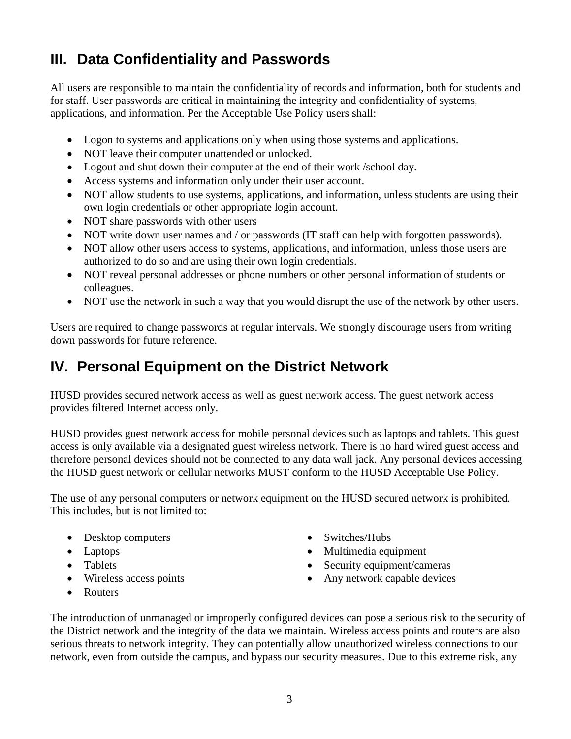# **III. Data Confidentiality and Passwords**

All users are responsible to maintain the confidentiality of records and information, both for students and for staff. User passwords are critical in maintaining the integrity and confidentiality of systems, applications, and information. Per the Acceptable Use Policy users shall:

- Logon to systems and applications only when using those systems and applications.
- NOT leave their computer unattended or unlocked.
- Logout and shut down their computer at the end of their work /school day.
- Access systems and information only under their user account.
- NOT allow students to use systems, applications, and information, unless students are using their own login credentials or other appropriate login account.
- NOT share passwords with other users
- NOT write down user names and / or passwords (IT staff can help with forgotten passwords).
- NOT allow other users access to systems, applications, and information, unless those users are authorized to do so and are using their own login credentials.
- NOT reveal personal addresses or phone numbers or other personal information of students or colleagues.
- NOT use the network in such a way that you would disrupt the use of the network by other users.

Users are required to change passwords at regular intervals. We strongly discourage users from writing down passwords for future reference.

## **IV. Personal Equipment on the District Network**

HUSD provides secured network access as well as guest network access. The guest network access provides filtered Internet access only.

HUSD provides guest network access for mobile personal devices such as laptops and tablets. This guest access is only available via a designated guest wireless network. There is no hard wired guest access and therefore personal devices should not be connected to any data wall jack. Any personal devices accessing the HUSD guest network or cellular networks MUST conform to the HUSD Acceptable Use Policy.

The use of any personal computers or network equipment on the HUSD secured network is prohibited. This includes, but is not limited to:

- Desktop computers
- Laptops
- Tablets
- Wireless access points
- Routers
- Switches/Hubs
- Multimedia equipment
- Security equipment/cameras
- Any network capable devices

The introduction of unmanaged or improperly configured devices can pose a serious risk to the security of the District network and the integrity of the data we maintain. Wireless access points and routers are also serious threats to network integrity. They can potentially allow unauthorized wireless connections to our network, even from outside the campus, and bypass our security measures. Due to this extreme risk, any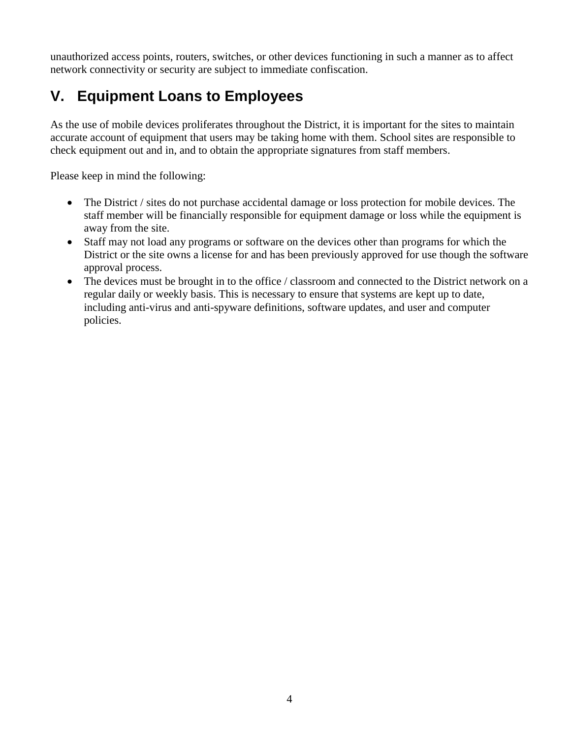unauthorized access points, routers, switches, or other devices functioning in such a manner as to affect network connectivity or security are subject to immediate confiscation.

# **V. Equipment Loans to Employees**

As the use of mobile devices proliferates throughout the District, it is important for the sites to maintain accurate account of equipment that users may be taking home with them. School sites are responsible to check equipment out and in, and to obtain the appropriate signatures from staff members.

Please keep in mind the following:

- The District / sites do not purchase accidental damage or loss protection for mobile devices. The staff member will be financially responsible for equipment damage or loss while the equipment is away from the site.
- Staff may not load any programs or software on the devices other than programs for which the District or the site owns a license for and has been previously approved for use though the software approval process.
- The devices must be brought in to the office / classroom and connected to the District network on a regular daily or weekly basis. This is necessary to ensure that systems are kept up to date, including anti-virus and anti-spyware definitions, software updates, and user and computer policies.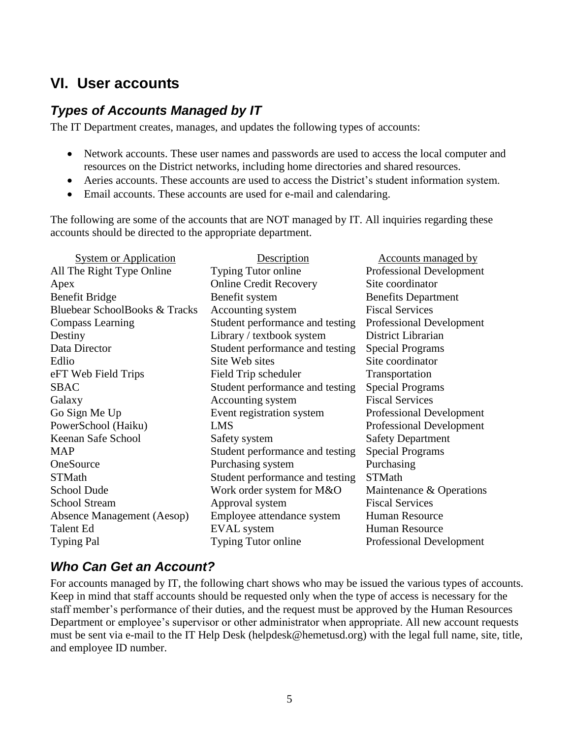## **VI. User accounts**

### *Types of Accounts Managed by IT*

The IT Department creates, manages, and updates the following types of accounts:

- Network accounts. These user names and passwords are used to access the local computer and resources on the District networks, including home directories and shared resources.
- Aeries accounts. These accounts are used to access the District's student information system.
- Email accounts. These accounts are used for e-mail and calendaring.

The following are some of the accounts that are NOT managed by IT. All inquiries regarding these accounts should be directed to the appropriate department.

| <b>System or Application</b>  | Description                     | <u>Accounts managed by</u>      |
|-------------------------------|---------------------------------|---------------------------------|
| All The Right Type Online     | Typing Tutor online             | <b>Professional Development</b> |
| Apex                          | <b>Online Credit Recovery</b>   | Site coordinator                |
| Benefit Bridge                | Benefit system                  | <b>Benefits Department</b>      |
| Bluebear SchoolBooks & Tracks | Accounting system               | <b>Fiscal Services</b>          |
| Compass Learning              | Student performance and testing | <b>Professional Development</b> |
| Destiny                       | Library / textbook system       | District Librarian              |
| Data Director                 | Student performance and testing | <b>Special Programs</b>         |
| Edlio                         | Site Web sites                  | Site coordinator                |
| eFT Web Field Trips           | Field Trip scheduler            | Transportation                  |
| <b>SBAC</b>                   | Student performance and testing | <b>Special Programs</b>         |
| Galaxy                        | Accounting system               | <b>Fiscal Services</b>          |
| Go Sign Me Up                 | Event registration system       | <b>Professional Development</b> |
| PowerSchool (Haiku)           | <b>LMS</b>                      | <b>Professional Development</b> |
| Keenan Safe School            | Safety system                   | <b>Safety Department</b>        |
| <b>MAP</b>                    | Student performance and testing | <b>Special Programs</b>         |
| OneSource                     | Purchasing system               | Purchasing                      |
| <b>STMath</b>                 | Student performance and testing | <b>STMath</b>                   |
| <b>School Dude</b>            | Work order system for M&O       | Maintenance & Operations        |
| <b>School Stream</b>          | Approval system                 | <b>Fiscal Services</b>          |
| Absence Management (Aesop)    | Employee attendance system      | <b>Human Resource</b>           |
| Talent Ed                     | <b>EVAL</b> system              | Human Resource                  |
| <b>Typing Pal</b>             | Typing Tutor online             | <b>Professional Development</b> |

### *Who Can Get an Account?*

For accounts managed by IT, the following chart shows who may be issued the various types of accounts. Keep in mind that staff accounts should be requested only when the type of access is necessary for the staff member's performance of their duties, and the request must be approved by the Human Resources Department or employee's supervisor or other administrator when appropriate. All new account requests must be sent via e-mail to the IT Help Desk (helpdesk@hemetusd.org) with the legal full name, site, title, and employee ID number.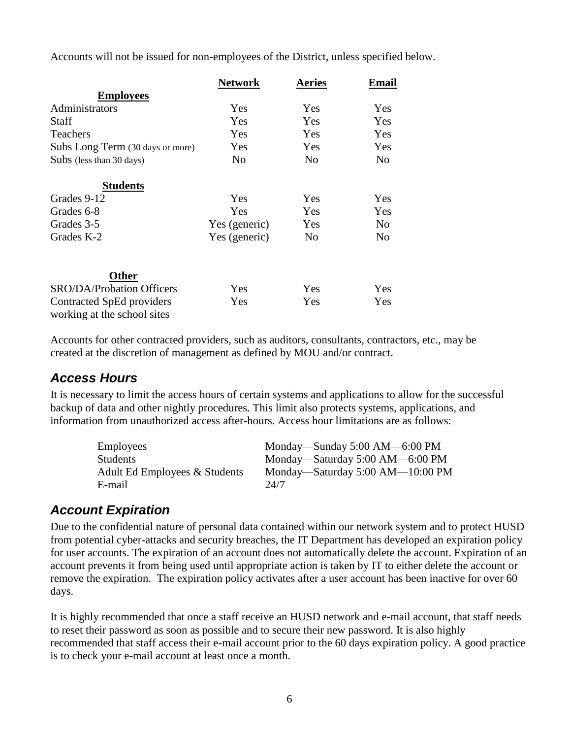Accounts will not be issued for non-employees of the District, unless specified below.

|                                                          | <b>Network</b> | <b>Aeries</b>  | Email          |
|----------------------------------------------------------|----------------|----------------|----------------|
| <b>Employees</b>                                         |                |                |                |
| Administrators                                           | Yes            | <b>Yes</b>     | Yes            |
| <b>Staff</b>                                             | Yes            | Yes            | Yes            |
| <b>Teachers</b>                                          | Yes            | Yes            | Yes            |
| Subs Long Term (30 days or more)                         | Yes            | Yes            | Yes            |
| Subs (less than 30 days)                                 | No             | No             | N <sub>o</sub> |
| <b>Students</b>                                          |                |                |                |
| Grades 9-12                                              | Yes            | Yes            | Yes            |
| Grades 6-8                                               | Yes            | Yes            | Yes            |
| Grades 3-5                                               | Yes (generic)  | Yes            | N <sub>o</sub> |
| Grades K-2                                               | Yes (generic)  | N <sub>0</sub> | N <sub>o</sub> |
| Other                                                    |                |                |                |
| <b>SRO/DA/Probation Officers</b>                         | Yes            | Yes            | Yes            |
| Contracted SpEd providers<br>working at the school sites | Yes            | Yes            | Yes            |

Accounts for other contracted providers, such as auditors, consultants, contractors, etc., may be created at the discretion of management as defined by MOU and/or contract.

### *Access Hours*

It is necessary to limit the access hours of certain systems and applications to allow for the successful backup of data and other nightly procedures. This limit also protects systems, applications, and information from unauthorized access after-hours. Access hour limitations are as follows:

| Employees                     | Monday—Sunday 5:00 AM—6:00 PM    |
|-------------------------------|----------------------------------|
| Students                      | Monday—Saturday 5:00 AM—6:00 PM  |
| Adult Ed Employees & Students | Monday—Saturday 5:00 AM—10:00 PM |
| E-mail                        | 24/7                             |

### *Account Expiration*

Due to the confidential nature of personal data contained within our network system and to protect HUSD from potential cyber-attacks and security breaches, the IT Department has developed an expiration policy for user accounts. The expiration of an account does not automatically delete the account. Expiration of an account prevents it from being used until appropriate action is taken by IT to either delete the account or remove the expiration. The expiration policy activates after a user account has been inactive for over 60 days.

It is highly recommended that once a staff receive an HUSD network and e-mail account, that staff needs to reset their password as soon as possible and to secure their new password. It is also highly recommended that staff access their e-mail account prior to the 60 days expiration policy. A good practice is to check your e-mail account at least once a month.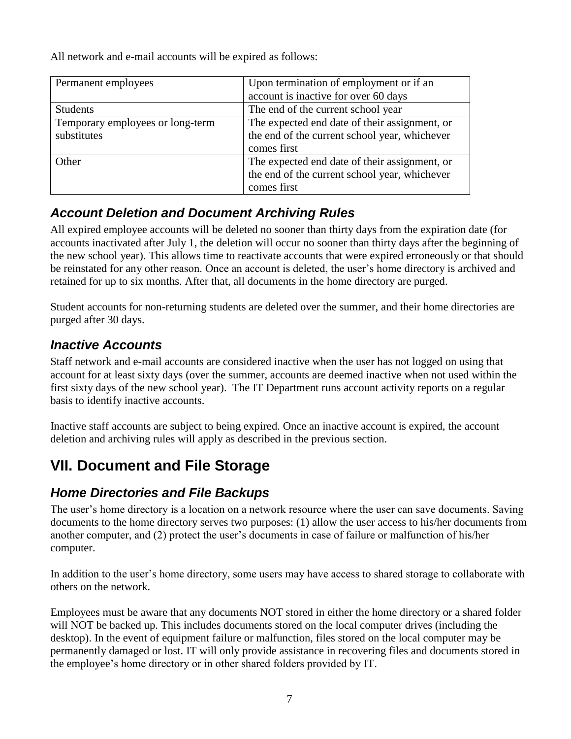All network and e-mail accounts will be expired as follows:

| Permanent employees                             | Upon termination of employment or if an<br>account is inactive for over 60 days                               |
|-------------------------------------------------|---------------------------------------------------------------------------------------------------------------|
| <b>Students</b>                                 | The end of the current school year                                                                            |
| Temporary employees or long-term<br>substitutes | The expected end date of their assignment, or<br>the end of the current school year, whichever<br>comes first |
| <b>Other</b>                                    | The expected end date of their assignment, or<br>the end of the current school year, whichever<br>comes first |

### *Account Deletion and Document Archiving Rules*

All expired employee accounts will be deleted no sooner than thirty days from the expiration date (for accounts inactivated after July 1, the deletion will occur no sooner than thirty days after the beginning of the new school year). This allows time to reactivate accounts that were expired erroneously or that should be reinstated for any other reason. Once an account is deleted, the user's home directory is archived and retained for up to six months. After that, all documents in the home directory are purged.

Student accounts for non-returning students are deleted over the summer, and their home directories are purged after 30 days.

## *Inactive Accounts*

Staff network and e-mail accounts are considered inactive when the user has not logged on using that account for at least sixty days (over the summer, accounts are deemed inactive when not used within the first sixty days of the new school year). The IT Department runs account activity reports on a regular basis to identify inactive accounts.

Inactive staff accounts are subject to being expired. Once an inactive account is expired, the account deletion and archiving rules will apply as described in the previous section.

# **VII. Document and File Storage**

### *Home Directories and File Backups*

The user's home directory is a location on a network resource where the user can save documents. Saving documents to the home directory serves two purposes: (1) allow the user access to his/her documents from another computer, and (2) protect the user's documents in case of failure or malfunction of his/her computer.

In addition to the user's home directory, some users may have access to shared storage to collaborate with others on the network.

Employees must be aware that any documents NOT stored in either the home directory or a shared folder will NOT be backed up. This includes documents stored on the local computer drives (including the desktop). In the event of equipment failure or malfunction, files stored on the local computer may be permanently damaged or lost. IT will only provide assistance in recovering files and documents stored in the employee's home directory or in other shared folders provided by IT.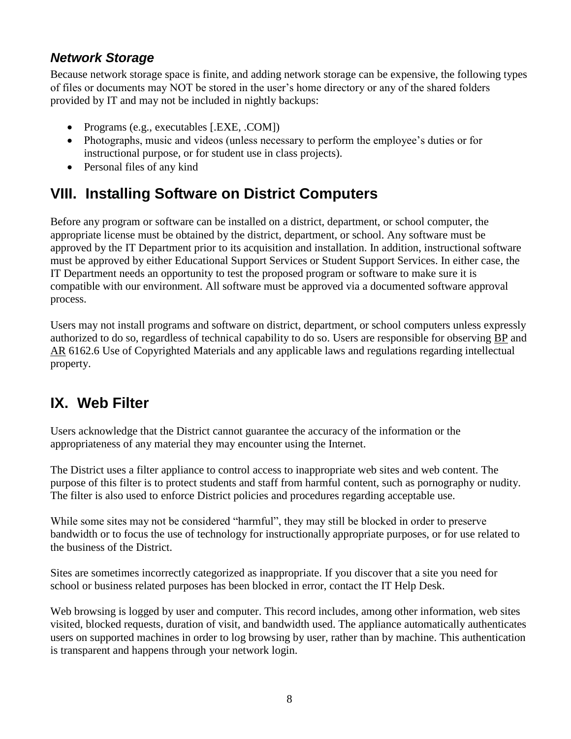### *Network Storage*

Because network storage space is finite, and adding network storage can be expensive, the following types of files or documents may NOT be stored in the user's home directory or any of the shared folders provided by IT and may not be included in nightly backups:

- Programs (e.g., executables [.EXE, .COM])
- Photographs, music and videos (unless necessary to perform the employee's duties or for instructional purpose, or for student use in class projects).
- Personal files of any kind

## **VIII. Installing Software on District Computers**

Before any program or software can be installed on a district, department, or school computer, the appropriate license must be obtained by the district, department, or school. Any software must be approved by the IT Department prior to its acquisition and installation. In addition, instructional software must be approved by either Educational Support Services or Student Support Services. In either case, the IT Department needs an opportunity to test the proposed program or software to make sure it is compatible with our environment. All software must be approved via a documented software approval process.

Users may not install programs and software on district, department, or school computers unless expressly authorized to do so, regardless of technical capability to do so. Users are responsible for observing [BP](http://www2.tvusd.k12.ca.us/policies/6000-6999/6162.6%20bp%20ess%20jap.pdf) and [AR](http://www2.tvusd.k12.ca.us/policies/6000-6999/6162.6%20ar%20ess%20jap.pdf) 6162.6 Use of Copyrighted Materials and any applicable laws and regulations regarding intellectual property.

## **IX. Web Filter**

Users acknowledge that the District cannot guarantee the accuracy of the information or the appropriateness of any material they may encounter using the Internet.

The District uses a filter appliance to control access to inappropriate web sites and web content. The purpose of this filter is to protect students and staff from harmful content, such as pornography or nudity. The filter is also used to enforce District policies and procedures regarding acceptable use.

While some sites may not be considered "harmful", they may still be blocked in order to preserve bandwidth or to focus the use of technology for instructionally appropriate purposes, or for use related to the business of the District.

Sites are sometimes incorrectly categorized as inappropriate. If you discover that a site you need for school or business related purposes has been blocked in error, contact the IT Help Desk.

Web browsing is logged by user and computer. This record includes, among other information, web sites visited, blocked requests, duration of visit, and bandwidth used. The appliance automatically authenticates users on supported machines in order to log browsing by user, rather than by machine. This authentication is transparent and happens through your network login.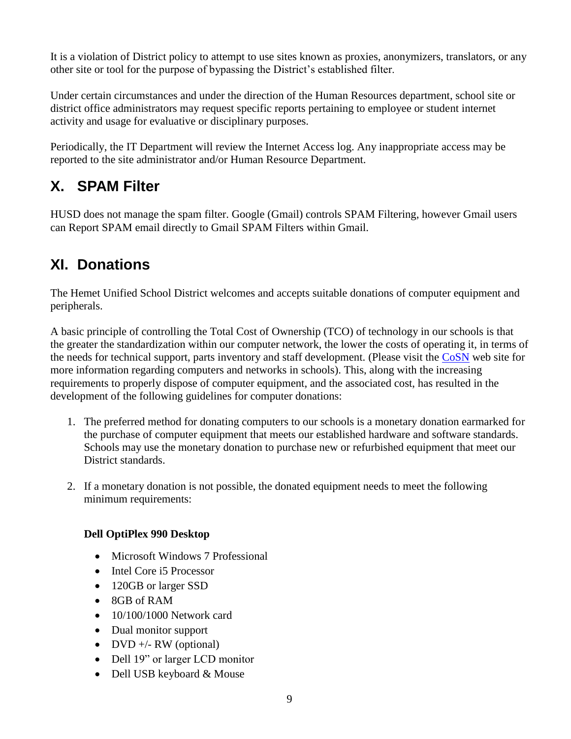It is a violation of District policy to attempt to use sites known as proxies, anonymizers, translators, or any other site or tool for the purpose of bypassing the District's established filter.

Under certain circumstances and under the direction of the Human Resources department, school site or district office administrators may request specific reports pertaining to employee or student internet activity and usage for evaluative or disciplinary purposes.

Periodically, the IT Department will review the Internet Access log. Any inappropriate access may be reported to the site administrator and/or Human Resource Department.

# **X. SPAM Filter**

HUSD does not manage the spam filter. Google (Gmail) controls SPAM Filtering, however Gmail users can Report SPAM email directly to Gmail SPAM Filters within Gmail.

# **XI. Donations**

The Hemet Unified School District welcomes and accepts suitable donations of computer equipment and peripherals.

A basic principle of controlling the Total Cost of Ownership (TCO) of technology in our schools is that the greater the standardization within our computer network, the lower the costs of operating it, in terms of the needs for technical support, parts inventory and staff development. (Please visit the [CoSN](http://www.cosn.org/) web site for more information regarding computers and networks in schools). This, along with the increasing requirements to properly dispose of computer equipment, and the associated cost, has resulted in the development of the following guidelines for computer donations:

- 1. The preferred method for donating computers to our schools is a monetary donation earmarked for the purchase of computer equipment that meets our established hardware and software standards. Schools may use the monetary donation to purchase new or refurbished equipment that meet our District standards.
- 2. If a monetary donation is not possible, the donated equipment needs to meet the following minimum requirements:

### **Dell OptiPlex 990 Desktop**

- Microsoft Windows 7 Professional
- Intel Core i5 Processor
- 120GB or larger SSD
- 8GB of RAM
- $\bullet$  10/100/1000 Network card
- Dual monitor support
- DVD  $+/-$  RW (optional)
- Dell 19" or larger LCD monitor
- Dell USB keyboard & Mouse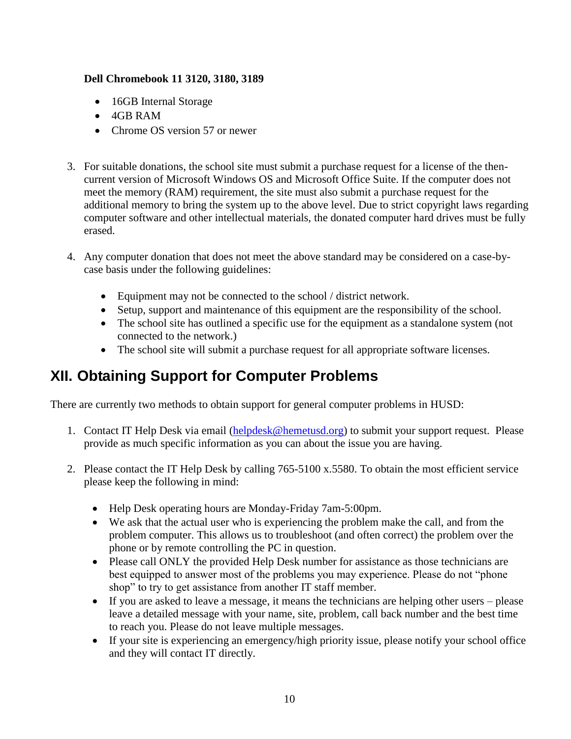#### **Dell Chromebook 11 3120, 3180, 3189**

- 16GB Internal Storage
- 4GB RAM
- Chrome OS version 57 or newer
- 3. For suitable donations, the school site must submit a purchase request for a license of the thencurrent version of Microsoft Windows OS and Microsoft Office Suite. If the computer does not meet the memory (RAM) requirement, the site must also submit a purchase request for the additional memory to bring the system up to the above level. Due to strict copyright laws regarding computer software and other intellectual materials, the donated computer hard drives must be fully erased.
- 4. Any computer donation that does not meet the above standard may be considered on a case-bycase basis under the following guidelines:
	- Equipment may not be connected to the school / district network.
	- Setup, support and maintenance of this equipment are the responsibility of the school.
	- The school site has outlined a specific use for the equipment as a standalone system (not connected to the network.)
	- The school site will submit a purchase request for all appropriate software licenses.

## **XII. Obtaining Support for Computer Problems**

There are currently two methods to obtain support for general computer problems in HUSD:

- 1. Contact IT Help Desk via email [\(helpdesk@hemetusd.org\)](mailto:helpdesk@hemetusd.org) to submit your support request. Please provide as much specific information as you can about the issue you are having.
- 2. Please contact the IT Help Desk by calling 765-5100 x.5580. To obtain the most efficient service please keep the following in mind:
	- Help Desk operating hours are Monday-Friday 7am-5:00pm.
	- We ask that the actual user who is experiencing the problem make the call, and from the problem computer. This allows us to troubleshoot (and often correct) the problem over the phone or by remote controlling the PC in question.
	- Please call ONLY the provided Help Desk number for assistance as those technicians are best equipped to answer most of the problems you may experience. Please do not "phone shop" to try to get assistance from another IT staff member.
	- If you are asked to leave a message, it means the technicians are helping other users please leave a detailed message with your name, site, problem, call back number and the best time to reach you. Please do not leave multiple messages.
	- If your site is experiencing an emergency/high priority issue, please notify your school office and they will contact IT directly.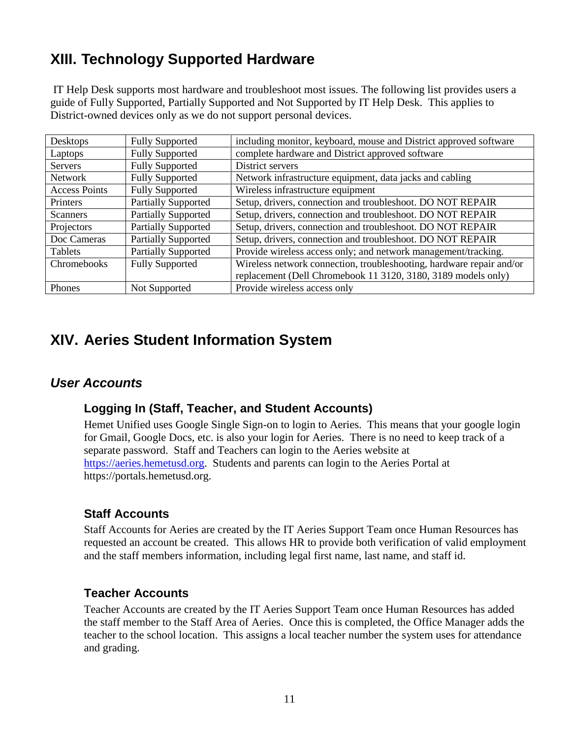# **XIII. Technology Supported Hardware**

IT Help Desk supports most hardware and troubleshoot most issues. The following list provides users a guide of Fully Supported, Partially Supported and Not Supported by IT Help Desk. This applies to District-owned devices only as we do not support personal devices.

| Desktops             | <b>Fully Supported</b>     | including monitor, keyboard, mouse and District approved software    |
|----------------------|----------------------------|----------------------------------------------------------------------|
| Laptops              | <b>Fully Supported</b>     | complete hardware and District approved software                     |
| Servers              | <b>Fully Supported</b>     | District servers                                                     |
| Network              | <b>Fully Supported</b>     | Network infrastructure equipment, data jacks and cabling             |
| <b>Access Points</b> | <b>Fully Supported</b>     | Wireless infrastructure equipment                                    |
| Printers             | <b>Partially Supported</b> | Setup, drivers, connection and troubleshoot. DO NOT REPAIR           |
| Scanners             | <b>Partially Supported</b> | Setup, drivers, connection and troubleshoot. DO NOT REPAIR           |
| Projectors           | <b>Partially Supported</b> | Setup, drivers, connection and troubleshoot. DO NOT REPAIR           |
| Doc Cameras          | <b>Partially Supported</b> | Setup, drivers, connection and troubleshoot. DO NOT REPAIR           |
| Tablets              | <b>Partially Supported</b> | Provide wireless access only; and network management/tracking.       |
| Chromebooks          | <b>Fully Supported</b>     | Wireless network connection, troubleshooting, hardware repair and/or |
|                      |                            | replacement (Dell Chromebook 11 3120, 3180, 3189 models only)        |
| <b>Phones</b>        | Not Supported              | Provide wireless access only                                         |

## **XIV. Aeries Student Information System**

### *User Accounts*

### **Logging In (Staff, Teacher, and Student Accounts)**

Hemet Unified uses Google Single Sign-on to login to Aeries. This means that your google login for Gmail, Google Docs, etc. is also your login for Aeries. There is no need to keep track of a separate password. Staff and Teachers can login to the Aeries website at [https://aeries.hemetusd.org.](https://aeries.hemetusd.org/) Students and parents can login to the Aeries Portal at https://portals.hemetusd.org.

### **Staff Accounts**

Staff Accounts for Aeries are created by the IT Aeries Support Team once Human Resources has requested an account be created. This allows HR to provide both verification of valid employment and the staff members information, including legal first name, last name, and staff id.

### **Teacher Accounts**

Teacher Accounts are created by the IT Aeries Support Team once Human Resources has added the staff member to the Staff Area of Aeries. Once this is completed, the Office Manager adds the teacher to the school location. This assigns a local teacher number the system uses for attendance and grading.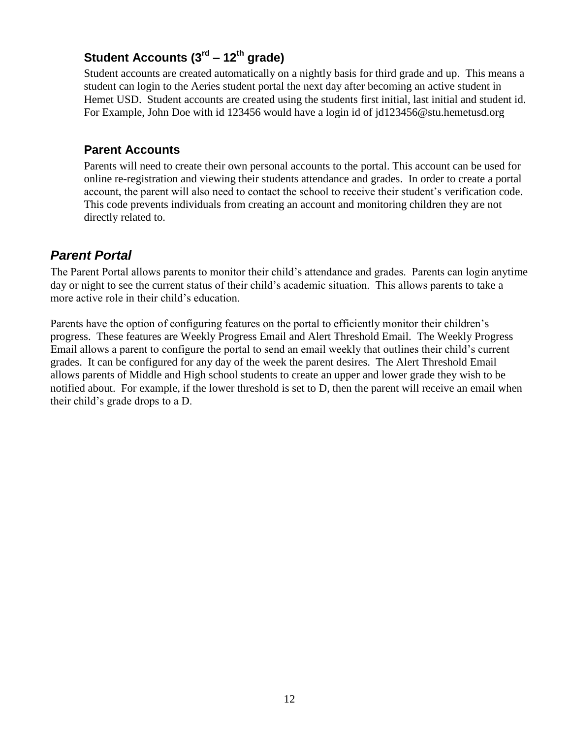### **Student Accounts (3rd – 12th grade)**

Student accounts are created automatically on a nightly basis for third grade and up. This means a student can login to the Aeries student portal the next day after becoming an active student in Hemet USD. Student accounts are created using the students first initial, last initial and student id. For Example, John Doe with id 123456 would have a login id of jd123456@stu.hemetusd.org

### **Parent Accounts**

Parents will need to create their own personal accounts to the portal. This account can be used for online re-registration and viewing their students attendance and grades. In order to create a portal account, the parent will also need to contact the school to receive their student's verification code. This code prevents individuals from creating an account and monitoring children they are not directly related to.

### *Parent Portal*

The Parent Portal allows parents to monitor their child's attendance and grades. Parents can login anytime day or night to see the current status of their child's academic situation. This allows parents to take a more active role in their child's education.

Parents have the option of configuring features on the portal to efficiently monitor their children's progress. These features are Weekly Progress Email and Alert Threshold Email. The Weekly Progress Email allows a parent to configure the portal to send an email weekly that outlines their child's current grades. It can be configured for any day of the week the parent desires. The Alert Threshold Email allows parents of Middle and High school students to create an upper and lower grade they wish to be notified about. For example, if the lower threshold is set to D, then the parent will receive an email when their child's grade drops to a D.